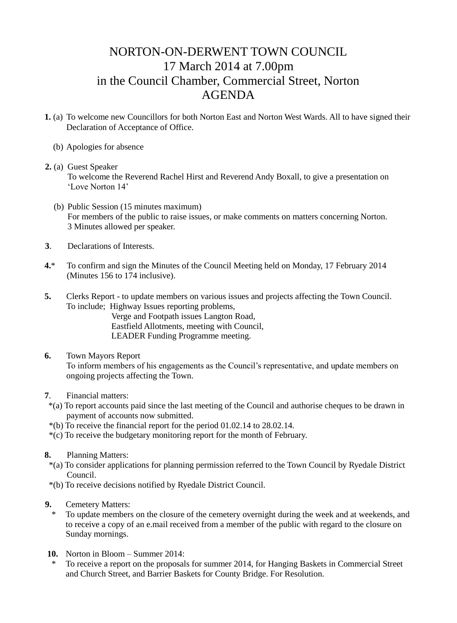## NORTON-ON-DERWENT TOWN COUNCIL 17 March 2014 at 7.00pm in the Council Chamber, Commercial Street, Norton AGENDA

- **1.** (a) To welcome new Councillors for both Norton East and Norton West Wards. All to have signed their Declaration of Acceptance of Office.
	- (b) Apologies for absence
- **2.** (a) Guest Speaker To welcome the Reverend Rachel Hirst and Reverend Andy Boxall, to give a presentation on 'Love Norton 14'
	- (b) Public Session (15 minutes maximum) For members of the public to raise issues, or make comments on matters concerning Norton. 3 Minutes allowed per speaker.
- **3**. Declarations of Interests.
- **4.**\* To confirm and sign the Minutes of the Council Meeting held on Monday, 17 February 2014 (Minutes 156 to 174 inclusive).
- **5.** Clerks Report to update members on various issues and projects affecting the Town Council. To include; Highway Issues reporting problems,

Verge and Footpath issues Langton Road, Eastfield Allotments, meeting with Council, LEADER Funding Programme meeting.

- **6.** Town Mayors Report To inform members of his engagements as the Council's representative, and update members on ongoing projects affecting the Town.
- **7**. Financial matters:
- \*(a) To report accounts paid since the last meeting of the Council and authorise cheques to be drawn in payment of accounts now submitted.
- \*(b) To receive the financial report for the period 01.02.14 to 28.02.14.
- \*(c) To receive the budgetary monitoring report for the month of February.
- **8.** Planning Matters:
- \*(a) To consider applications for planning permission referred to the Town Council by Ryedale District Council.
- \*(b) To receive decisions notified by Ryedale District Council.
- **9.** Cemetery Matters:
	- To update members on the closure of the cemetery overnight during the week and at weekends, and to receive a copy of an e.mail received from a member of the public with regard to the closure on Sunday mornings.
- **10.** Norton in Bloom Summer 2014:
- \* To receive a report on the proposals for summer 2014, for Hanging Baskets in Commercial Street and Church Street, and Barrier Baskets for County Bridge. For Resolution.